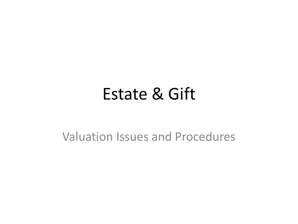#### Estate & Gift

Valuation Issues and Procedures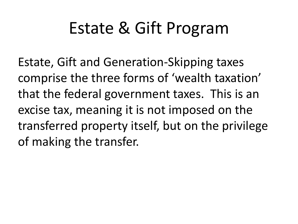## Estate & Gift Program

Estate, Gift and Generation-Skipping taxes comprise the three forms of 'wealth taxation' that the federal government taxes. This is an excise tax, meaning it is not imposed on the transferred property itself, but on the privilege of making the transfer.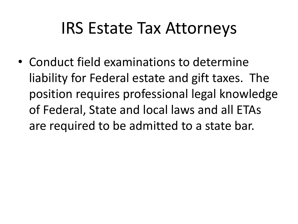#### IRS Estate Tax Attorneys

• Conduct field examinations to determine liability for Federal estate and gift taxes. The position requires professional legal knowledge of Federal, State and local laws and all ETAs are required to be admitted to a state bar.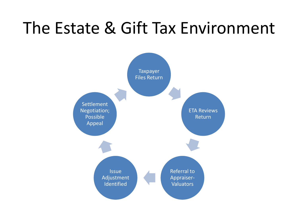### The Estate & Gift Tax Environment

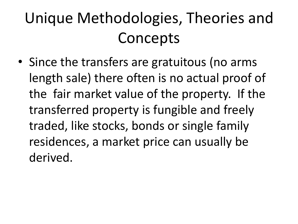## Unique Methodologies, Theories and **Concepts**

• Since the transfers are gratuitous (no arms length sale) there often is no actual proof of the fair market value of the property. If the transferred property is fungible and freely traded, like stocks, bonds or single family residences, a market price can usually be derived.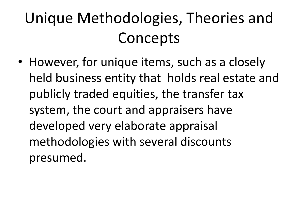## Unique Methodologies, Theories and **Concepts**

• However, for unique items, such as a closely held business entity that holds real estate and publicly traded equities, the transfer tax system, the court and appraisers have developed very elaborate appraisal methodologies with several discounts presumed.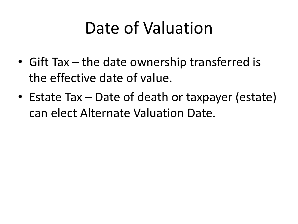### Date of Valuation

- Gift Tax the date ownership transferred is the effective date of value.
- Estate Tax Date of death or taxpayer (estate) can elect Alternate Valuation Date.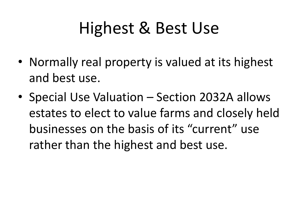## Highest & Best Use

- Normally real property is valued at its highest and best use.
- Special Use Valuation Section 2032A allows estates to elect to value farms and closely held businesses on the basis of its "current" use rather than the highest and best use.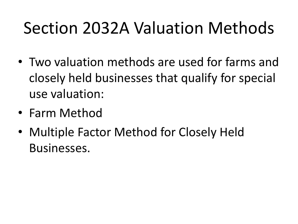# Section 2032A Valuation Methods

- Two valuation methods are used for farms and closely held businesses that qualify for special use valuation:
- Farm Method
- Multiple Factor Method for Closely Held Businesses.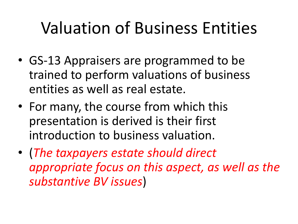## Valuation of Business Entities

- GS-13 Appraisers are programmed to be trained to perform valuations of business entities as well as real estate.
- For many, the course from which this presentation is derived is their first introduction to business valuation.
- (*The taxpayers estate should direct appropriate focus on this aspect, as well as the substantive BV issues*)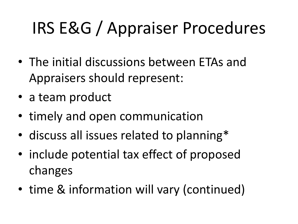# IRS E&G / Appraiser Procedures

- The initial discussions between ETAs and Appraisers should represent:
- a team product
- timely and open communication
- discuss all issues related to planning\*
- include potential tax effect of proposed changes
- time & information will vary (continued)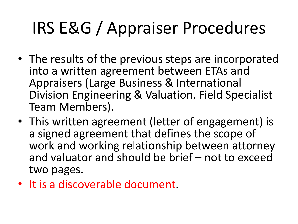# IRS E&G / Appraiser Procedures

- The results of the previous steps are incorporated into a written agreement between ETAs and Appraisers (Large Business & International Division Engineering & Valuation, Field Specialist Team Members).
- This written agreement (letter of engagement) is a signed agreement that defines the scope of work and working relationship between attorney and valuator and should be brief – not to exceed two pages.
- It is a discoverable document.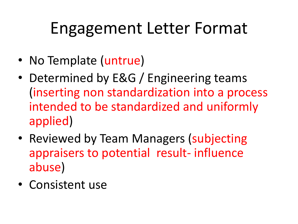## Engagement Letter Format

- No Template (untrue)
- Determined by E&G / Engineering teams (inserting non standardization into a process intended to be standardized and uniformly applied)
- Reviewed by Team Managers (subjecting appraisers to potential result- influence abuse)
- Consistent use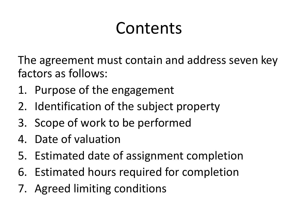## Contents

The agreement must contain and address seven key factors as follows:

- 1. Purpose of the engagement
- 2. Identification of the subject property
- 3. Scope of work to be performed
- 4. Date of valuation
- 5. Estimated date of assignment completion
- 6. Estimated hours required for completion
- 7. Agreed limiting conditions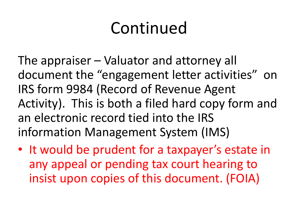## Continued

The appraiser – Valuator and attorney all document the "engagement letter activities" on IRS form 9984 (Record of Revenue Agent Activity). This is both a filed hard copy form and an electronic record tied into the IRS information Management System (IMS)

• It would be prudent for a taxpayer's estate in any appeal or pending tax court hearing to insist upon copies of this document. (FOIA)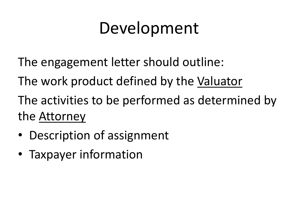## Development

- The engagement letter should outline:
- The work product defined by the Valuator
- The activities to be performed as determined by the Attorney
- Description of assignment
- Taxpayer information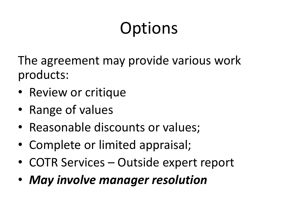# **Options**

The agreement may provide various work products:

- Review or critique
- Range of values
- Reasonable discounts or values;
- Complete or limited appraisal;
- COTR Services Outside expert report
- *May involve manager resolution*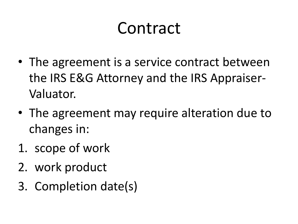### Contract

- The agreement is a service contract between the IRS E&G Attorney and the IRS Appraiser-Valuator.
- The agreement may require alteration due to changes in:
- 1. scope of work
- 2. work product
- 3. Completion date(s)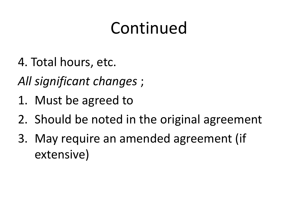## Continued

- 4. Total hours, etc.
- *All significant changes* ;
- 1. Must be agreed to
- 2. Should be noted in the original agreement
- 3. May require an amended agreement (if extensive)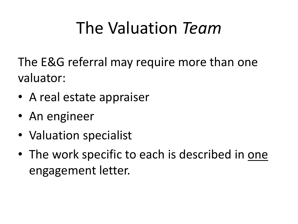## The Valuation *Team*

The E&G referral may require more than one valuator:

- A real estate appraiser
- An engineer
- Valuation specialist
- The work specific to each is described in one engagement letter.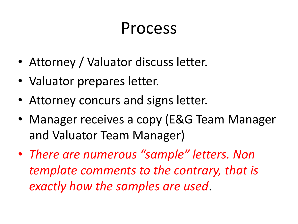#### Process

- Attorney / Valuator discuss letter.
- Valuator prepares letter.
- Attorney concurs and signs letter.
- Manager receives a copy (E&G Team Manager and Valuator Team Manager)
- *There are numerous "sample" letters. Non template comments to the contrary, that is exactly how the samples are used*.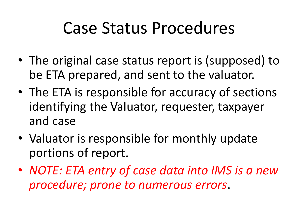### Case Status Procedures

- The original case status report is (supposed) to be ETA prepared, and sent to the valuator.
- The ETA is responsible for accuracy of sections identifying the Valuator, requester, taxpayer and case
- Valuator is responsible for monthly update portions of report.
- *NOTE: ETA entry of case data into IMS is a new procedure; prone to numerous errors*.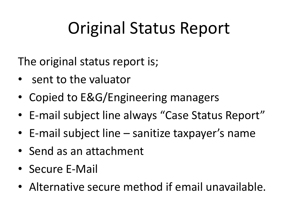## Original Status Report

The original status report is;

- sent to the valuator
- Copied to E&G/Engineering managers
- E-mail subject line always "Case Status Report"
- E-mail subject line sanitize taxpayer's name
- Send as an attachment
- Secure E-Mail
- Alternative secure method if email unavailable.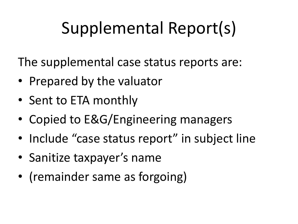# Supplemental Report(s)

The supplemental case status reports are:

- Prepared by the valuator
- Sent to ETA monthly
- Copied to E&G/Engineering managers
- Include "case status report" in subject line
- Sanitize taxpayer's name
- (remainder same as forgoing)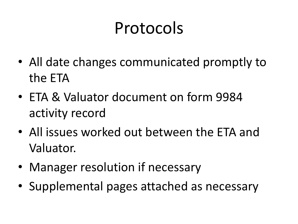## Protocols

- All date changes communicated promptly to the ETA
- ETA & Valuator document on form 9984 activity record
- All issues worked out between the ETA and Valuator.
- Manager resolution if necessary
- Supplemental pages attached as necessary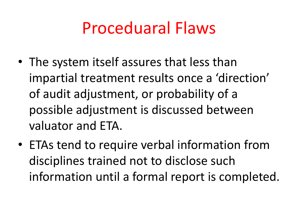#### Proceduaral Flaws

- The system itself assures that less than impartial treatment results once a 'direction' of audit adjustment, or probability of a possible adjustment is discussed between valuator and ETA.
- ETAs tend to require verbal information from disciplines trained not to disclose such information until a formal report is completed.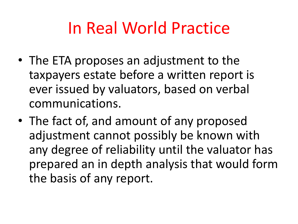#### In Real World Practice

- The ETA proposes an adjustment to the taxpayers estate before a written report is ever issued by valuators, based on verbal communications.
- The fact of, and amount of any proposed adjustment cannot possibly be known with any degree of reliability until the valuator has prepared an in depth analysis that would form the basis of any report.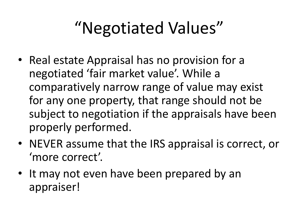## "Negotiated Values"

- Real estate Appraisal has no provision for a negotiated 'fair market value'. While a comparatively narrow range of value may exist for any one property, that range should not be subject to negotiation if the appraisals have been properly performed.
- NEVER assume that the IRS appraisal is correct, or 'more correct'.
- It may not even have been prepared by an appraiser!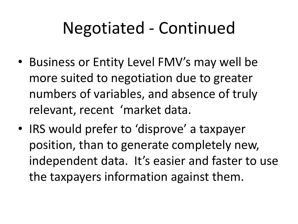## Negotiated - Continued

- Business or Entity Level FMV's may well be more suited to negotiation due to greater numbers of variables, and absence of truly relevant, recent 'market data.
- IRS would prefer to 'disprove' a taxpayer position, than to generate completely new, independent data. It's easier and faster to use the taxpayers information against them.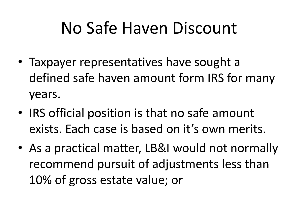### No Safe Haven Discount

- Taxpayer representatives have sought a defined safe haven amount form IRS for many years.
- IRS official position is that no safe amount exists. Each case is based on it's own merits.
- As a practical matter, LB&I would not normally recommend pursuit of adjustments less than 10% of gross estate value; or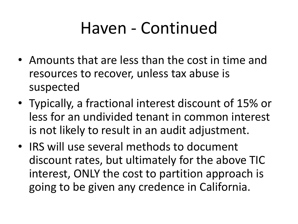## Haven - Continued

- Amounts that are less than the cost in time and resources to recover, unless tax abuse is suspected
- Typically, a fractional interest discount of 15% or less for an undivided tenant in common interest is not likely to result in an audit adjustment.
- IRS will use several methods to document discount rates, but ultimately for the above TIC interest, ONLY the cost to partition approach is going to be given any credence in California.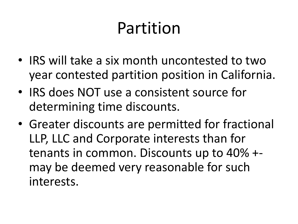## Partition

- IRS will take a six month uncontested to two year contested partition position in California.
- IRS does NOT use a consistent source for determining time discounts.
- Greater discounts are permitted for fractional LLP, LLC and Corporate interests than for tenants in common. Discounts up to 40% + may be deemed very reasonable for such interests.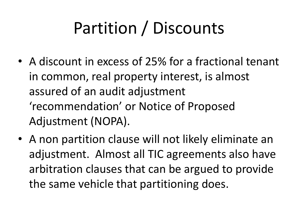# Partition / Discounts

- A discount in excess of 25% for a fractional tenant in common, real property interest, is almost assured of an audit adjustment 'recommendation' or Notice of Proposed Adjustment (NOPA).
- A non partition clause will not likely eliminate an adjustment. Almost all TIC agreements also have arbitration clauses that can be argued to provide the same vehicle that partitioning does.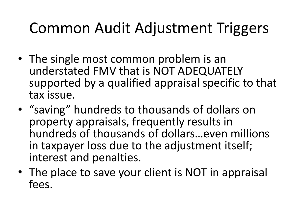#### Common Audit Adjustment Triggers

- The single most common problem is an understated FMV that is NOT ADEQUATELY supported by a qualified appraisal specific to that tax issue.
- "saving" hundreds to thousands of dollars on property appraisals, frequently results in hundreds of thousands of dollars…even millions in taxpayer loss due to the adjustment itself; interest and penalties.
- The place to save your client is NOT in appraisal fees.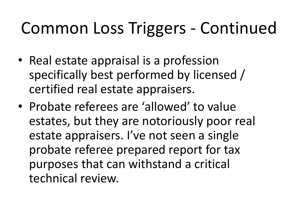## Common Loss Triggers - Continued

- Real estate appraisal is a profession specifically best performed by licensed / certified real estate appraisers.
- Probate referees are 'allowed' to value estates, but they are notoriously poor real estate appraisers. I've not seen a single probate referee prepared report for tax purposes that can withstand a critical technical review.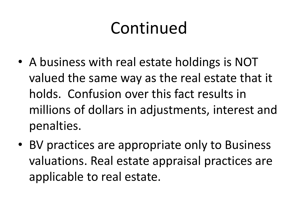## Continued

- A business with real estate holdings is NOT valued the same way as the real estate that it holds. Confusion over this fact results in millions of dollars in adjustments, interest and penalties.
- BV practices are appropriate only to Business valuations. Real estate appraisal practices are applicable to real estate.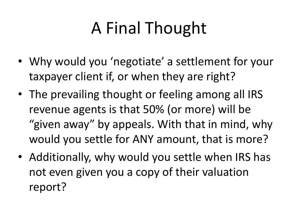# A Final Thought

- Why would you 'negotiate' a settlement for your taxpayer client if, or when they are right?
- The prevailing thought or feeling among all IRS revenue agents is that 50% (or more) will be "given away" by appeals. With that in mind, why would you settle for ANY amount, that is more?
- Additionally, why would you settle when IRS has not even given you a copy of their valuation report?